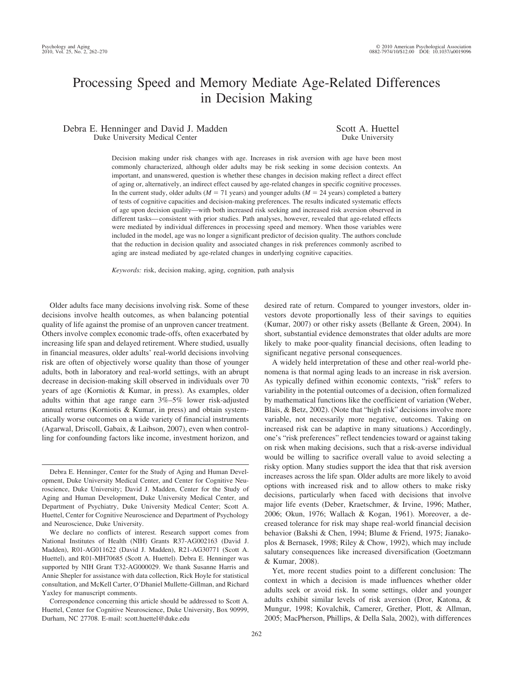# Processing Speed and Memory Mediate Age-Related Differences in Decision Making

Debra E. Henninger and David J. Madden Duke University Medical Center

Scott A. Huettel Duke University

Decision making under risk changes with age. Increases in risk aversion with age have been most commonly characterized, although older adults may be risk seeking in some decision contexts. An important, and unanswered, question is whether these changes in decision making reflect a direct effect of aging or, alternatively, an indirect effect caused by age-related changes in specific cognitive processes. In the current study, older adults ( $M = 71$  years) and younger adults ( $M = 24$  years) completed a battery of tests of cognitive capacities and decision-making preferences. The results indicated systematic effects of age upon decision quality—with both increased risk seeking and increased risk aversion observed in different tasks—consistent with prior studies. Path analyses, however, revealed that age-related effects were mediated by individual differences in processing speed and memory. When those variables were included in the model, age was no longer a significant predictor of decision quality. The authors conclude that the reduction in decision quality and associated changes in risk preferences commonly ascribed to aging are instead mediated by age-related changes in underlying cognitive capacities.

*Keywords:* risk, decision making, aging, cognition, path analysis

Older adults face many decisions involving risk. Some of these decisions involve health outcomes, as when balancing potential quality of life against the promise of an unproven cancer treatment. Others involve complex economic trade-offs, often exacerbated by increasing life span and delayed retirement. Where studied, usually in financial measures, older adults' real-world decisions involving risk are often of objectively worse quality than those of younger adults, both in laboratory and real-world settings, with an abrupt decrease in decision-making skill observed in individuals over 70 years of age (Korniotis & Kumar, in press). As examples, older adults within that age range earn 3%–5% lower risk-adjusted annual returns (Korniotis & Kumar, in press) and obtain systematically worse outcomes on a wide variety of financial instruments (Agarwal, Driscoll, Gabaix, & Laibson, 2007), even when controlling for confounding factors like income, investment horizon, and

Debra E. Henninger, Center for the Study of Aging and Human Development, Duke University Medical Center, and Center for Cognitive Neuroscience, Duke University; David J. Madden, Center for the Study of Aging and Human Development, Duke University Medical Center, and Department of Psychiatry, Duke University Medical Center; Scott A. Huettel, Center for Cognitive Neuroscience and Department of Psychology and Neuroscience, Duke University.

We declare no conflicts of interest. Research support comes from National Institutes of Health (NIH) Grants R37-AG002163 (David J. Madden), R01-AG011622 (David J. Madden), R21-AG30771 (Scott A. Huettel), and R01-MH70685 (Scott A. Huettel). Debra E. Henninger was supported by NIH Grant T32-AG000029. We thank Susanne Harris and Annie Shepler for assistance with data collection, Rick Hoyle for statistical consultation, and McKell Carter, O'Dhaniel Mullette-Gillman, and Richard Yaxley for manuscript comments.

Correspondence concerning this article should be addressed to Scott A. Huettel, Center for Cognitive Neuroscience, Duke University, Box 90999, Durham, NC 27708. E-mail: scott.huettel@duke.edu

desired rate of return. Compared to younger investors, older investors devote proportionally less of their savings to equities (Kumar, 2007) or other risky assets (Bellante & Green, 2004). In short, substantial evidence demonstrates that older adults are more likely to make poor-quality financial decisions, often leading to significant negative personal consequences.

A widely held interpretation of these and other real-world phenomena is that normal aging leads to an increase in risk aversion. As typically defined within economic contexts, "risk" refers to variability in the potential outcomes of a decision, often formalized by mathematical functions like the coefficient of variation (Weber, Blais, & Betz, 2002). (Note that "high risk" decisions involve more variable, not necessarily more negative, outcomes. Taking on increased risk can be adaptive in many situations.) Accordingly, one's "risk preferences" reflect tendencies toward or against taking on risk when making decisions, such that a risk-averse individual would be willing to sacrifice overall value to avoid selecting a risky option. Many studies support the idea that that risk aversion increases across the life span. Older adults are more likely to avoid options with increased risk and to allow others to make risky decisions, particularly when faced with decisions that involve major life events (Deber, Kraetschmer, & Irvine, 1996; Mather, 2006; Okun, 1976; Wallach & Kogan, 1961). Moreover, a decreased tolerance for risk may shape real-world financial decision behavior (Bakshi & Chen, 1994; Blume & Friend, 1975; Jianakoplos & Bernasek, 1998; Riley & Chow, 1992), which may include salutary consequences like increased diversification (Goetzmann & Kumar, 2008).

Yet, more recent studies point to a different conclusion: The context in which a decision is made influences whether older adults seek or avoid risk. In some settings, older and younger adults exhibit similar levels of risk aversion (Dror, Katona, & Mungur, 1998; Kovalchik, Camerer, Grether, Plott, & Allman, 2005; MacPherson, Phillips, & Della Sala, 2002), with differences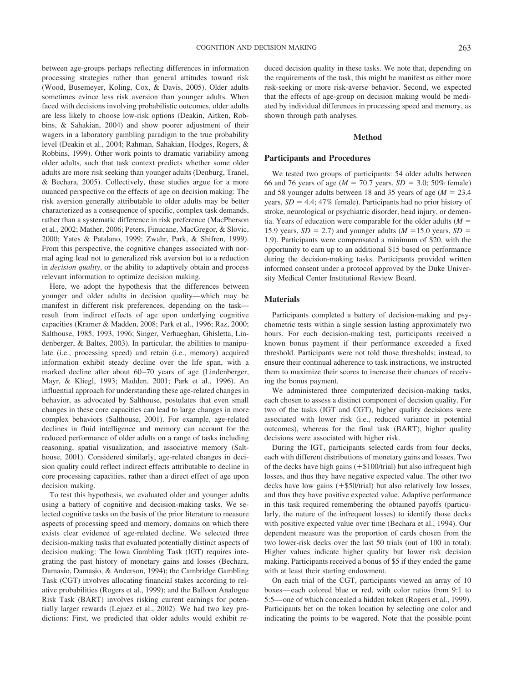between age-groups perhaps reflecting differences in information processing strategies rather than general attitudes toward risk (Wood, Busemeyer, Koling, Cox, & Davis, 2005). Older adults sometimes evince less risk aversion than younger adults. When faced with decisions involving probabilistic outcomes, older adults are less likely to choose low-risk options (Deakin, Aitken, Robbins, & Sahakian, 2004) and show poorer adjustment of their wagers in a laboratory gambling paradigm to the true probability level (Deakin et al., 2004; Rahman, Sahakian, Hodges, Rogers, & Robbins, 1999). Other work points to dramatic variability among older adults, such that task context predicts whether some older adults are more risk seeking than younger adults (Denburg, Tranel, & Bechara, 2005). Collectively, these studies argue for a more nuanced perspective on the effects of age on decision making: The risk aversion generally attributable to older adults may be better characterized as a consequence of specific, complex task demands, rather than a systematic difference in risk preference (MacPherson et al., 2002; Mather, 2006; Peters, Finucane, MacGregor, & Slovic, 2000; Yates & Patalano, 1999; Zwahr, Park, & Shifren, 1999). From this perspective, the cognitive changes associated with normal aging lead not to generalized risk aversion but to a reduction in *decision quality*, or the ability to adaptively obtain and process relevant information to optimize decision making.

Here, we adopt the hypothesis that the differences between younger and older adults in decision quality—which may be manifest in different risk preferences, depending on the task result from indirect effects of age upon underlying cognitive capacities (Kramer & Madden, 2008; Park et al., 1996; Raz, 2000; Salthouse, 1985, 1993, 1996; Singer, Verhaeghan, Ghisletta, Lindenberger, & Baltes, 2003). In particular, the abilities to manipulate (i.e., processing speed) and retain (i.e., memory) acquired information exhibit steady decline over the life span, with a marked decline after about 60-70 years of age (Lindenberger, Mayr, & Kliegl, 1993; Madden, 2001; Park et al., 1996). An influential approach for understanding these age-related changes in behavior, as advocated by Salthouse, postulates that even small changes in these core capacities can lead to large changes in more complex behaviors (Salthouse, 2001). For example, age-related declines in fluid intelligence and memory can account for the reduced performance of older adults on a range of tasks including reasoning, spatial visualization, and associative memory (Salthouse, 2001). Considered similarly, age-related changes in decision quality could reflect indirect effects attributable to decline in core processing capacities, rather than a direct effect of age upon decision making.

To test this hypothesis, we evaluated older and younger adults using a battery of cognitive and decision-making tasks. We selected cognitive tasks on the basis of the prior literature to measure aspects of processing speed and memory, domains on which there exists clear evidence of age-related decline. We selected three decision-making tasks that evaluated potentially distinct aspects of decision making: The Iowa Gambling Task (IGT) requires integrating the past history of monetary gains and losses (Bechara, Damasio, Damasio, & Anderson, 1994); the Cambridge Gambling Task (CGT) involves allocating financial stakes according to relative probabilities (Rogers et al., 1999); and the Balloon Analogue Risk Task (BART) involves risking current earnings for potentially larger rewards (Lejuez et al., 2002). We had two key predictions: First, we predicted that older adults would exhibit reduced decision quality in these tasks. We note that, depending on the requirements of the task, this might be manifest as either more risk-seeking or more risk-averse behavior. Second, we expected that the effects of age-group on decision making would be mediated by individual differences in processing speed and memory, as shown through path analyses.

# **Method**

#### **Participants and Procedures**

We tested two groups of participants: 54 older adults between 66 and 76 years of age ( $M = 70.7$  years,  $SD = 3.0$ ; 50% female) and 58 younger adults between 18 and 35 years of age  $(M = 23.4)$ years,  $SD = 4.4$ ; 47% female). Participants had no prior history of stroke, neurological or psychiatric disorder, head injury, or dementia. Years of education were comparable for the older adults  $(M =$ 15.9 years,  $SD = 2.7$ ) and younger adults ( $M = 15.0$  years,  $SD =$ 1.9). Participants were compensated a minimum of \$20, with the opportunity to earn up to an additional \$15 based on performance during the decision-making tasks. Participants provided written informed consent under a protocol approved by the Duke University Medical Center Institutional Review Board.

## **Materials**

Participants completed a battery of decision-making and psychometric tests within a single session lasting approximately two hours. For each decision-making test, participants received a known bonus payment if their performance exceeded a fixed threshold. Participants were not told those thresholds; instead, to ensure their continual adherence to task instructions, we instructed them to maximize their scores to increase their chances of receiving the bonus payment.

We administered three computerized decision-making tasks, each chosen to assess a distinct component of decision quality. For two of the tasks (IGT and CGT), higher quality decisions were associated with lower risk (i.e., reduced variance in potential outcomes), whereas for the final task (BART), higher quality decisions were associated with higher risk.

During the IGT, participants selected cards from four decks, each with different distributions of monetary gains and losses. Two of the decks have high gains (+\$100/trial) but also infrequent high losses, and thus they have negative expected value. The other two decks have low gains (+\$50/trial) but also relatively low losses, and thus they have positive expected value. Adaptive performance in this task required remembering the obtained payoffs (particularly, the nature of the infrequent losses) to identify those decks with positive expected value over time (Bechara et al., 1994). Our dependent measure was the proportion of cards chosen from the two lower-risk decks over the last 50 trials (out of 100 in total). Higher values indicate higher quality but lower risk decision making. Participants received a bonus of \$5 if they ended the game with at least their starting endowment.

On each trial of the CGT, participants viewed an array of 10 boxes— each colored blue or red, with color ratios from 9:1 to 5:5— one of which concealed a hidden token (Rogers et al., 1999). Participants bet on the token location by selecting one color and indicating the points to be wagered. Note that the possible point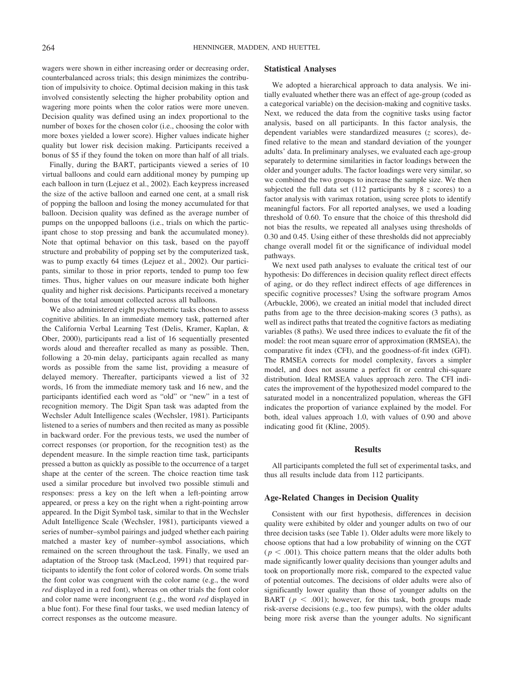wagers were shown in either increasing order or decreasing order, counterbalanced across trials; this design minimizes the contribution of impulsivity to choice. Optimal decision making in this task involved consistently selecting the higher probability option and wagering more points when the color ratios were more uneven. Decision quality was defined using an index proportional to the number of boxes for the chosen color (i.e., choosing the color with more boxes yielded a lower score). Higher values indicate higher quality but lower risk decision making. Participants received a bonus of \$5 if they found the token on more than half of all trials.

Finally, during the BART, participants viewed a series of 10 virtual balloons and could earn additional money by pumping up each balloon in turn (Lejuez et al., 2002). Each keypress increased the size of the active balloon and earned one cent, at a small risk of popping the balloon and losing the money accumulated for that balloon. Decision quality was defined as the average number of pumps on the unpopped balloons (i.e., trials on which the participant chose to stop pressing and bank the accumulated money). Note that optimal behavior on this task, based on the payoff structure and probability of popping set by the computerized task, was to pump exactly 64 times (Lejuez et al., 2002). Our participants, similar to those in prior reports, tended to pump too few times. Thus, higher values on our measure indicate both higher quality and higher risk decisions. Participants received a monetary bonus of the total amount collected across all balloons.

We also administered eight psychometric tasks chosen to assess cognitive abilities. In an immediate memory task, patterned after the California Verbal Learning Test (Delis, Kramer, Kaplan, & Ober, 2000), participants read a list of 16 sequentially presented words aloud and thereafter recalled as many as possible. Then, following a 20-min delay, participants again recalled as many words as possible from the same list, providing a measure of delayed memory. Thereafter, participants viewed a list of 32 words, 16 from the immediate memory task and 16 new, and the participants identified each word as "old" or "new" in a test of recognition memory. The Digit Span task was adapted from the Wechsler Adult Intelligence scales (Wechsler, 1981). Participants listened to a series of numbers and then recited as many as possible in backward order. For the previous tests, we used the number of correct responses (or proportion, for the recognition test) as the dependent measure. In the simple reaction time task, participants pressed a button as quickly as possible to the occurrence of a target shape at the center of the screen. The choice reaction time task used a similar procedure but involved two possible stimuli and responses: press a key on the left when a left-pointing arrow appeared, or press a key on the right when a right-pointing arrow appeared. In the Digit Symbol task, similar to that in the Wechsler Adult Intelligence Scale (Wechsler, 1981), participants viewed a series of number–symbol pairings and judged whether each pairing matched a master key of number–symbol associations, which remained on the screen throughout the task. Finally, we used an adaptation of the Stroop task (MacLeod, 1991) that required participants to identify the font color of colored words. On some trials the font color was congruent with the color name (e.g., the word *red* displayed in a red font), whereas on other trials the font color and color name were incongruent (e.g., the word *red* displayed in a blue font). For these final four tasks, we used median latency of correct responses as the outcome measure.

# **Statistical Analyses**

We adopted a hierarchical approach to data analysis. We initially evaluated whether there was an effect of age-group (coded as a categorical variable) on the decision-making and cognitive tasks. Next, we reduced the data from the cognitive tasks using factor analysis, based on all participants. In this factor analysis, the dependent variables were standardized measures (*z* scores), defined relative to the mean and standard deviation of the younger adults' data. In preliminary analyses, we evaluated each age-group separately to determine similarities in factor loadings between the older and younger adults. The factor loadings were very similar, so we combined the two groups to increase the sample size. We then subjected the full data set (112 participants by 8 *z* scores) to a factor analysis with varimax rotation, using scree plots to identify meaningful factors. For all reported analyses, we used a loading threshold of 0.60. To ensure that the choice of this threshold did not bias the results, we repeated all analyses using thresholds of 0.30 and 0.45. Using either of these thresholds did not appreciably change overall model fit or the significance of individual model pathways.

We next used path analyses to evaluate the critical test of our hypothesis: Do differences in decision quality reflect direct effects of aging, or do they reflect indirect effects of age differences in specific cognitive processes? Using the software program Amos (Arbuckle, 2006), we created an initial model that included direct paths from age to the three decision-making scores (3 paths), as well as indirect paths that treated the cognitive factors as mediating variables (8 paths). We used three indices to evaluate the fit of the model: the root mean square error of approximation (RMSEA), the comparative fit index (CFI), and the goodness-of-fit index (GFI). The RMSEA corrects for model complexity, favors a simpler model, and does not assume a perfect fit or central chi-square distribution. Ideal RMSEA values approach zero. The CFI indicates the improvement of the hypothesized model compared to the saturated model in a noncentralized population, whereas the GFI indicates the proportion of variance explained by the model. For both, ideal values approach 1.0, with values of 0.90 and above indicating good fit (Kline, 2005).

# **Results**

All participants completed the full set of experimental tasks, and thus all results include data from 112 participants.

## **Age-Related Changes in Decision Quality**

Consistent with our first hypothesis, differences in decision quality were exhibited by older and younger adults on two of our three decision tasks (see Table 1). Older adults were more likely to choose options that had a low probability of winning on the CGT  $(p < .001)$ . This choice pattern means that the older adults both made significantly lower quality decisions than younger adults and took on proportionally more risk, compared to the expected value of potential outcomes. The decisions of older adults were also of significantly lower quality than those of younger adults on the BART ( $p < .001$ ); however, for this task, both groups made risk-averse decisions (e.g., too few pumps), with the older adults being more risk averse than the younger adults. No significant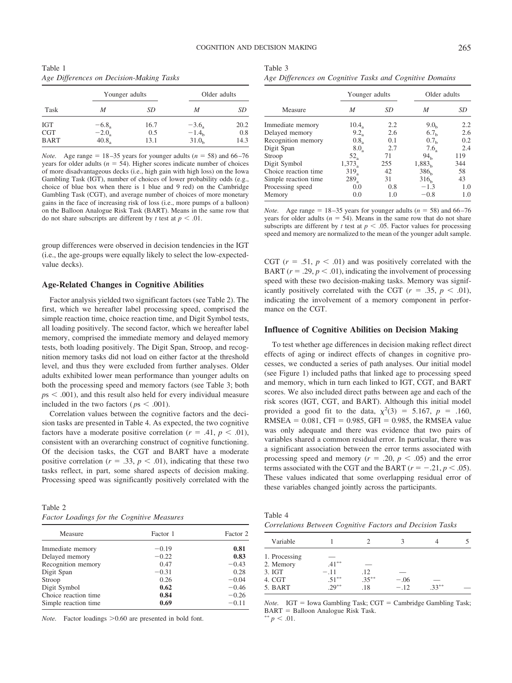Table 1 *Age Differences on Decision-Making Tasks*

|             | Younger adults    |      | Older adults      |      |  |
|-------------|-------------------|------|-------------------|------|--|
| Task        | M                 | SD   | M                 | SD   |  |
| IGT         | $-6.8_a$          | 16.7 | $-3.6_a$          | 20.2 |  |
| <b>CGT</b>  | $-2.0_a$          | 0.5  | $-1.4b$           | 0.8  |  |
| <b>BART</b> | 40.8 <sub>9</sub> | 13.1 | 31.0 <sub>b</sub> | 14.3 |  |

*Note.* Age range =  $18-35$  years for younger adults ( $n = 58$ ) and 66-76 years for older adults ( $n = 54$ ). Higher scores indicate number of choices of more disadvantageous decks (i.e., high gain with high loss) on the Iowa Gambling Task (IGT), number of choices of lower probability odds (e.g., choice of blue box when there is 1 blue and 9 red) on the Cambridge Gambling Task (CGT), and average number of choices of more monetary gains in the face of increasing risk of loss (i.e., more pumps of a balloon) on the Balloon Analogue Risk Task (BART). Means in the same row that do not share subscripts are different by *t* test at  $p < .01$ .

group differences were observed in decision tendencies in the IGT (i.e., the age-groups were equally likely to select the low-expectedvalue decks).

# **Age-Related Changes in Cognitive Abilities**

Factor analysis yielded two significant factors (see Table 2). The first, which we hereafter label processing speed, comprised the simple reaction time, choice reaction time, and Digit Symbol tests, all loading positively. The second factor, which we hereafter label memory, comprised the immediate memory and delayed memory tests, both loading positively. The Digit Span, Stroop, and recognition memory tasks did not load on either factor at the threshold level, and thus they were excluded from further analyses. Older adults exhibited lower mean performance than younger adults on both the processing speed and memory factors (see Table 3; both  $p s < .001$ ), and this result also held for every individual measure included in the two factors ( $p_s < .001$ ).

Correlation values between the cognitive factors and the decision tasks are presented in Table 4. As expected, the two cognitive factors have a moderate positive correlation ( $r = .41$ ,  $p < .01$ ), consistent with an overarching construct of cognitive functioning. Of the decision tasks, the CGT and BART have a moderate positive correlation ( $r = .33$ ,  $p < .01$ ), indicating that these two tasks reflect, in part, some shared aspects of decision making. Processing speed was significantly positively correlated with the

Table 2 *Factor Loadings for the Cognitive Measures*

| Measure              | Factor 1 | Factor 2 |
|----------------------|----------|----------|
| Immediate memory     | $-0.19$  | 0.81     |
| Delayed memory       | $-0.22$  | 0.83     |
| Recognition memory   | 0.47     | $-0.43$  |
| Digit Span           | $-0.31$  | 0.28     |
| Stroop               | 0.26     | $-0.04$  |
| Digit Symbol         | 0.62     | $-0.46$  |
| Choice reaction time | 0.84     | $-0.26$  |
| Simple reaction time | 0.69     | $-0.11$  |
|                      |          |          |

*Note.* Factor loadings > 0.60 are presented in bold font.

| Table 3                                                  |  |  |  |
|----------------------------------------------------------|--|--|--|
| Age Differences on Cognitive Tasks and Cognitive Domains |  |  |  |

|                      | Younger adults     |     | Older adults       |     |
|----------------------|--------------------|-----|--------------------|-----|
| Measure              | M                  | SD  | M                  | SD  |
| Immediate memory     | $10.4_a$           | 2.2 | 9.0 <sub>b</sub>   | 2.2 |
| Delayed memory       | $9.2_a$            | 2.6 | 6.7 <sub>b</sub>   | 2.6 |
| Recognition memory   | 0.8 <sub>a</sub>   | 0.1 | 0.7 <sub>b</sub>   | 0.2 |
| Digit Span           | 8.0                | 2.7 | $7.6_a$            | 2.4 |
| Stroop               | $52_a$             | 71  | 94 <sub>h</sub>    | 119 |
| Digit Symbol         | 1,373 <sub>a</sub> | 255 | 1,883 <sub>b</sub> | 344 |
| Choice reaction time | 319 <sub>a</sub>   | 42  | 386 <sub>b</sub>   | 58  |
| Simple reaction time | 289 <sub>a</sub>   | 31  | 316 <sub>b</sub>   | 43  |
| Processing speed     | 0.0                | 0.8 | $-1.3$             | 1.0 |
| Memory               | 0.0                | 1.0 | $-0.8$             | 1.0 |

*Note.* Age range =  $18-35$  years for younger adults ( $n = 58$ ) and 66-76 years for older adults ( $n = 54$ ). Means in the same row that do not share subscripts are different by  $t$  test at  $p < .05$ . Factor values for processing speed and memory are normalized to the mean of the younger adult sample.

CGT  $(r = .51, p < .01)$  and was positively correlated with the BART ( $r = .29$ ,  $p < .01$ ), indicating the involvement of processing speed with these two decision-making tasks. Memory was significantly positively correlated with the CGT ( $r = .35$ ,  $p < .01$ ), indicating the involvement of a memory component in performance on the CGT.

#### **Influence of Cognitive Abilities on Decision Making**

To test whether age differences in decision making reflect direct effects of aging or indirect effects of changes in cognitive processes, we conducted a series of path analyses. Our initial model (see Figure 1) included paths that linked age to processing speed and memory, which in turn each linked to IGT, CGT, and BART scores. We also included direct paths between age and each of the risk scores (IGT, CGT, and BART). Although this initial model provided a good fit to the data,  $\chi^2(3) = 5.167$ ,  $p = .160$ ,  $RMSEA = 0.081$ , CFI = 0.985, GFI = 0.985, the RMSEA value was only adequate and there was evidence that two pairs of variables shared a common residual error. In particular, there was a significant association between the error terms associated with processing speed and memory ( $r = .20$ ,  $p < .05$ ) and the error terms associated with the CGT and the BART ( $r = -.21, p < .05$ ). These values indicated that some overlapping residual error of these variables changed jointly across the participants.

| Table 4                                                   |  |  |  |
|-----------------------------------------------------------|--|--|--|
| Correlations Between Cognitive Factors and Decision Tasks |  |  |  |

| Variable                                                  |                                           |                        |                  |          |  |
|-----------------------------------------------------------|-------------------------------------------|------------------------|------------------|----------|--|
| 1. Processing<br>2. Memory<br>3. IGT<br>4. CGT<br>5. BART | $.41***$<br>$-.11$<br>$.51***$<br>$29***$ | .12<br>$.35***$<br>.18 | $-.06$<br>$-.12$ | $.33***$ |  |

*Note.* IGT = Iowa Gambling Task; CGT = Cambridge Gambling Task; BART = Balloon Analogue Risk Task.  $* p < .01$ .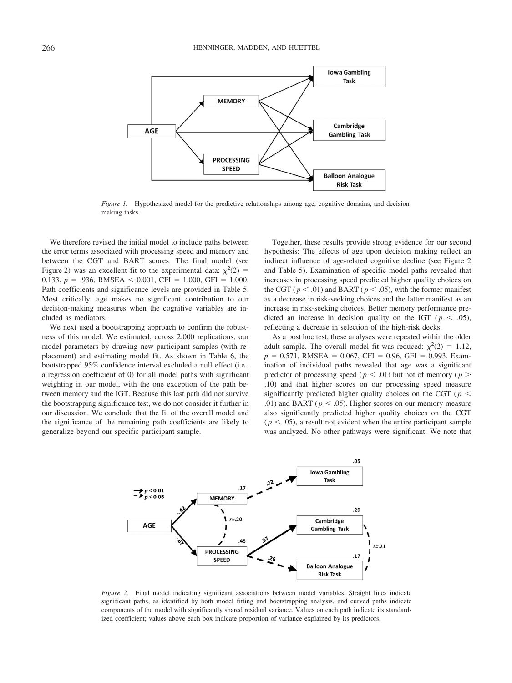

*Figure 1.* Hypothesized model for the predictive relationships among age, cognitive domains, and decisionmaking tasks.

We therefore revised the initial model to include paths between the error terms associated with processing speed and memory and between the CGT and BART scores. The final model (see Figure 2) was an excellent fit to the experimental data:  $\chi^2(2)$  = 0.133,  $p = .936$ , RMSEA  $< 0.001$ , CFI = 1.000, GFI = 1.000. Path coefficients and significance levels are provided in Table 5. Most critically, age makes no significant contribution to our decision-making measures when the cognitive variables are included as mediators.

We next used a bootstrapping approach to confirm the robustness of this model. We estimated, across 2,000 replications, our model parameters by drawing new participant samples (with replacement) and estimating model fit. As shown in Table 6, the bootstrapped 95% confidence interval excluded a null effect (i.e., a regression coefficient of 0) for all model paths with significant weighting in our model, with the one exception of the path between memory and the IGT. Because this last path did not survive the bootstrapping significance test, we do not consider it further in our discussion. We conclude that the fit of the overall model and the significance of the remaining path coefficients are likely to generalize beyond our specific participant sample.

Together, these results provide strong evidence for our second hypothesis: The effects of age upon decision making reflect an indirect influence of age-related cognitive decline (see Figure 2 and Table 5). Examination of specific model paths revealed that increases in processing speed predicted higher quality choices on the CGT ( $p < .01$ ) and BART ( $p < .05$ ), with the former manifest as a decrease in risk-seeking choices and the latter manifest as an increase in risk-seeking choices. Better memory performance predicted an increase in decision quality on the IGT ( $p < .05$ ), reflecting a decrease in selection of the high-risk decks.

As a post hoc test, these analyses were repeated within the older adult sample. The overall model fit was reduced:  $\chi^2(2) = 1.12$ ,  $p = 0.571$ , RMSEA = 0.067, CFI = 0.96, GFI = 0.993. Examination of individual paths revealed that age was a significant predictor of processing speed ( $p < .01$ ) but not of memory ( $p >$ .10) and that higher scores on our processing speed measure significantly predicted higher quality choices on the CGT ( $p <$ .01) and BART ( $p < .05$ ). Higher scores on our memory measure also significantly predicted higher quality choices on the CGT  $(p < .05)$ , a result not evident when the entire participant sample was analyzed. No other pathways were significant. We note that



*Figure 2.* Final model indicating significant associations between model variables. Straight lines indicate significant paths, as identified by both model fitting and bootstrapping analysis, and curved paths indicate components of the model with significantly shared residual variance. Values on each path indicate its standardized coefficient; values above each box indicate proportion of variance explained by its predictors.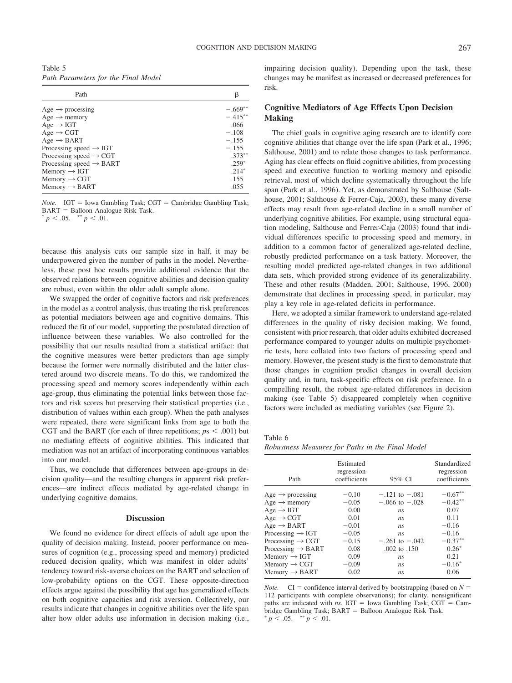Table 5 *Path Parameters for the Final Model*

| Path                                | β          |
|-------------------------------------|------------|
| Age $\rightarrow$ processing        | $-.669**$  |
| Age $\rightarrow$ memory            | $-.415***$ |
| $Age \rightarrow IGT$               | .066       |
| $Age \rightarrow CGT$               | $-.108$    |
| $Age \rightarrow BART$              | $-.155$    |
| Processing speed $\rightarrow$ IGT  | $-.155$    |
| Processing speed $\rightarrow$ CGT  | $.373***$  |
| Processing speed $\rightarrow$ BART | $.259*$    |
| $Memory \rightarrow IGT$            | $.214*$    |
| Memory $\rightarrow$ CGT            | .155       |
| Memory $\rightarrow$ BART           | .055       |

*Note.* IGT = Iowa Gambling Task; CGT = Cambridge Gambling Task; BART = Balloon Analogue Risk Task.  $p < .05$ .  $p < .01$ .

because this analysis cuts our sample size in half, it may be underpowered given the number of paths in the model. Nevertheless, these post hoc results provide additional evidence that the observed relations between cognitive abilities and decision quality are robust, even within the older adult sample alone.

We swapped the order of cognitive factors and risk preferences in the model as a control analysis, thus treating the risk preferences as potential mediators between age and cognitive domains. This reduced the fit of our model, supporting the postulated direction of influence between these variables. We also controlled for the possibility that our results resulted from a statistical artifact: that the cognitive measures were better predictors than age simply because the former were normally distributed and the latter clustered around two discrete means. To do this, we randomized the processing speed and memory scores independently within each age-group, thus eliminating the potential links between those factors and risk scores but preserving their statistical properties (i.e., distribution of values within each group). When the path analyses were repeated, there were significant links from age to both the CGT and the BART (for each of three repetitions;  $p_s < .001$ ) but no mediating effects of cognitive abilities. This indicated that mediation was not an artifact of incorporating continuous variables into our model.

Thus, we conclude that differences between age-groups in decision quality—and the resulting changes in apparent risk preferences—are indirect effects mediated by age-related change in underlying cognitive domains.

# **Discussion**

We found no evidence for direct effects of adult age upon the quality of decision making. Instead, poorer performance on measures of cognition (e.g., processing speed and memory) predicted reduced decision quality, which was manifest in older adults' tendency toward risk-averse choices on the BART and selection of low-probability options on the CGT. These opposite-direction effects argue against the possibility that age has generalized effects on both cognitive capacities and risk aversion. Collectively, our results indicate that changes in cognitive abilities over the life span alter how older adults use information in decision making (i.e.,

# **Cognitive Mediators of Age Effects Upon Decision Making**

The chief goals in cognitive aging research are to identify core cognitive abilities that change over the life span (Park et al., 1996; Salthouse, 2001) and to relate those changes to task performance. Aging has clear effects on fluid cognitive abilities, from processing speed and executive function to working memory and episodic retrieval, most of which decline systematically throughout the life span (Park et al., 1996). Yet, as demonstrated by Salthouse (Salthouse, 2001; Salthouse & Ferrer-Caja, 2003), these many diverse effects may result from age-related decline in a small number of underlying cognitive abilities. For example, using structural equation modeling, Salthouse and Ferrer-Caja (2003) found that individual differences specific to processing speed and memory, in addition to a common factor of generalized age-related decline, robustly predicted performance on a task battery. Moreover, the resulting model predicted age-related changes in two additional data sets, which provided strong evidence of its generalizability. These and other results (Madden, 2001; Salthouse, 1996, 2000) demonstrate that declines in processing speed, in particular, may play a key role in age-related deficits in performance.

Here, we adopted a similar framework to understand age-related differences in the quality of risky decision making. We found, consistent with prior research, that older adults exhibited decreased performance compared to younger adults on multiple psychometric tests, here collated into two factors of processing speed and memory. However, the present study is the first to demonstrate that those changes in cognition predict changes in overall decision quality and, in turn, task-specific effects on risk preference. In a compelling result, the robust age-related differences in decision making (see Table 5) disappeared completely when cognitive factors were included as mediating variables (see Figure 2).

Table 6 *Robustness Measures for Paths in the Final Model*

| Path                          | Estimated<br>regression<br>coefficients | 95% CI             | Standardized<br>regression<br>coefficients |
|-------------------------------|-----------------------------------------|--------------------|--------------------------------------------|
| Age $\rightarrow$ processing  | $-0.10$                                 | $-.121$ to $-.081$ | $-0.67**$                                  |
| Age $\rightarrow$ memory      | $-0.05$                                 | $-.066$ to $-.028$ | $-0.42**$                                  |
| $Age \rightarrow IGT$         | 0.00                                    | ns                 | 0.07                                       |
| $Age \rightarrow CGT$         | 0.01                                    | ns                 | 0.11                                       |
| $Age \rightarrow BART$        | $-0.01$                                 | n <sub>s</sub>     | $-0.16$                                    |
| Processing $\rightarrow$ IGT  | $-0.05$                                 | ns                 | $-0.16$                                    |
| Processing $\rightarrow$ CGT  | $-0.15$                                 | $-.261$ to $-.042$ | $-0.37**$                                  |
| Processing $\rightarrow$ BART | 0.08                                    | .002 to .150       | $0.26*$                                    |
| Memory $\rightarrow$ IGT      | 0.09                                    | ns                 | 0.21                                       |
| Memory $\rightarrow$ CGT      | $-0.09$                                 | ns                 | $-0.16*$                                   |
| Memory $\rightarrow$ BART     | 0.02                                    | ns                 | 0.06                                       |

*Note.*  $CI =$  confidence interval derived by bootstrapping (based on  $N =$ 112 participants with complete observations); for clarity, nonsignificant paths are indicated with  $ns$ . IGT = Iowa Gambling Task; CGT = Cambridge Gambling Task; BART = Balloon Analogue Risk Task.  $p < .05$ .  $\binom{*}{p} < .01$ .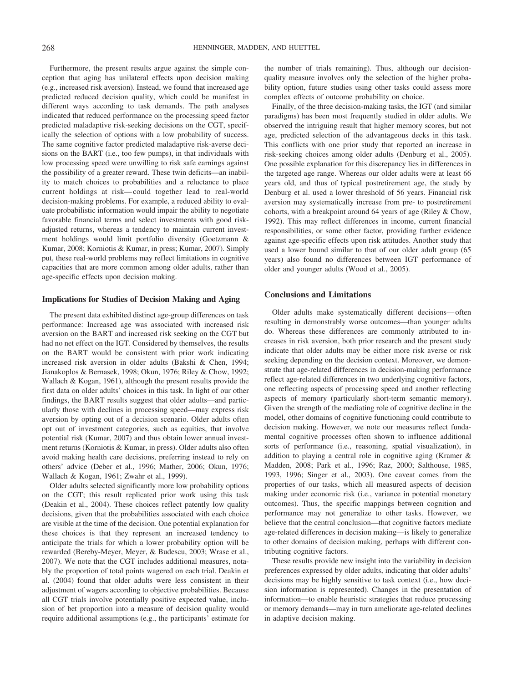Furthermore, the present results argue against the simple conception that aging has unilateral effects upon decision making (e.g., increased risk aversion). Instead, we found that increased age predicted reduced decision quality, which could be manifest in different ways according to task demands. The path analyses indicated that reduced performance on the processing speed factor predicted maladaptive risk-seeking decisions on the CGT, specifically the selection of options with a low probability of success. The same cognitive factor predicted maladaptive risk-averse decisions on the BART (i.e., too few pumps), in that individuals with low processing speed were unwilling to risk safe earnings against the possibility of a greater reward. These twin deficits—an inability to match choices to probabilities and a reluctance to place current holdings at risk— could together lead to real-world decision-making problems. For example, a reduced ability to evaluate probabilistic information would impair the ability to negotiate favorable financial terms and select investments with good riskadjusted returns, whereas a tendency to maintain current investment holdings would limit portfolio diversity (Goetzmann & Kumar, 2008; Korniotis & Kumar, in press; Kumar, 2007). Simply put, these real-world problems may reflect limitations in cognitive capacities that are more common among older adults, rather than age-specific effects upon decision making.

## **Implications for Studies of Decision Making and Aging**

The present data exhibited distinct age-group differences on task performance: Increased age was associated with increased risk aversion on the BART and increased risk seeking on the CGT but had no net effect on the IGT. Considered by themselves, the results on the BART would be consistent with prior work indicating increased risk aversion in older adults (Bakshi & Chen, 1994; Jianakoplos & Bernasek, 1998; Okun, 1976; Riley & Chow, 1992; Wallach & Kogan, 1961), although the present results provide the first data on older adults' choices in this task. In light of our other findings, the BART results suggest that older adults—and particularly those with declines in processing speed—may express risk aversion by opting out of a decision scenario. Older adults often opt out of investment categories, such as equities, that involve potential risk (Kumar, 2007) and thus obtain lower annual investment returns (Korniotis & Kumar, in press). Older adults also often avoid making health care decisions, preferring instead to rely on others' advice (Deber et al., 1996; Mather, 2006; Okun, 1976; Wallach & Kogan, 1961; Zwahr et al., 1999).

Older adults selected significantly more low probability options on the CGT; this result replicated prior work using this task (Deakin et al., 2004). These choices reflect patently low quality decisions, given that the probabilities associated with each choice are visible at the time of the decision. One potential explanation for these choices is that they represent an increased tendency to anticipate the trials for which a lower probability option will be rewarded (Bereby-Meyer, Meyer, & Budescu, 2003; Wrase et al., 2007). We note that the CGT includes additional measures, notably the proportion of total points wagered on each trial. Deakin et al. (2004) found that older adults were less consistent in their adjustment of wagers according to objective probabilities. Because all CGT trials involve potentially positive expected value, inclusion of bet proportion into a measure of decision quality would require additional assumptions (e.g., the participants' estimate for the number of trials remaining). Thus, although our decisionquality measure involves only the selection of the higher probability option, future studies using other tasks could assess more complex effects of outcome probability on choice.

Finally, of the three decision-making tasks, the IGT (and similar paradigms) has been most frequently studied in older adults. We observed the intriguing result that higher memory scores, but not age, predicted selection of the advantageous decks in this task. This conflicts with one prior study that reported an increase in risk-seeking choices among older adults (Denburg et al., 2005). One possible explanation for this discrepancy lies in differences in the targeted age range. Whereas our older adults were at least 66 years old, and thus of typical postretirement age, the study by Denburg et al. used a lower threshold of 56 years. Financial risk aversion may systematically increase from pre- to postretirement cohorts, with a breakpoint around 64 years of age (Riley & Chow, 1992). This may reflect differences in income, current financial responsibilities, or some other factor, providing further evidence against age-specific effects upon risk attitudes. Another study that used a lower bound similar to that of our older adult group (65 years) also found no differences between IGT performance of older and younger adults (Wood et al., 2005).

## **Conclusions and Limitations**

Older adults make systematically different decisions— often resulting in demonstrably worse outcomes—than younger adults do. Whereas these differences are commonly attributed to increases in risk aversion, both prior research and the present study indicate that older adults may be either more risk averse or risk seeking depending on the decision context. Moreover, we demonstrate that age-related differences in decision-making performance reflect age-related differences in two underlying cognitive factors, one reflecting aspects of processing speed and another reflecting aspects of memory (particularly short-term semantic memory). Given the strength of the mediating role of cognitive decline in the model, other domains of cognitive functioning could contribute to decision making. However, we note our measures reflect fundamental cognitive processes often shown to influence additional sorts of performance (i.e., reasoning, spatial visualization), in addition to playing a central role in cognitive aging (Kramer & Madden, 2008; Park et al., 1996; Raz, 2000; Salthouse, 1985, 1993, 1996; Singer et al., 2003). One caveat comes from the properties of our tasks, which all measured aspects of decision making under economic risk (i.e., variance in potential monetary outcomes). Thus, the specific mappings between cognition and performance may not generalize to other tasks. However, we believe that the central conclusion—that cognitive factors mediate age-related differences in decision making—is likely to generalize to other domains of decision making, perhaps with different contributing cognitive factors.

These results provide new insight into the variability in decision preferences expressed by older adults, indicating that older adults' decisions may be highly sensitive to task context (i.e., how decision information is represented). Changes in the presentation of information—to enable heuristic strategies that reduce processing or memory demands—may in turn ameliorate age-related declines in adaptive decision making.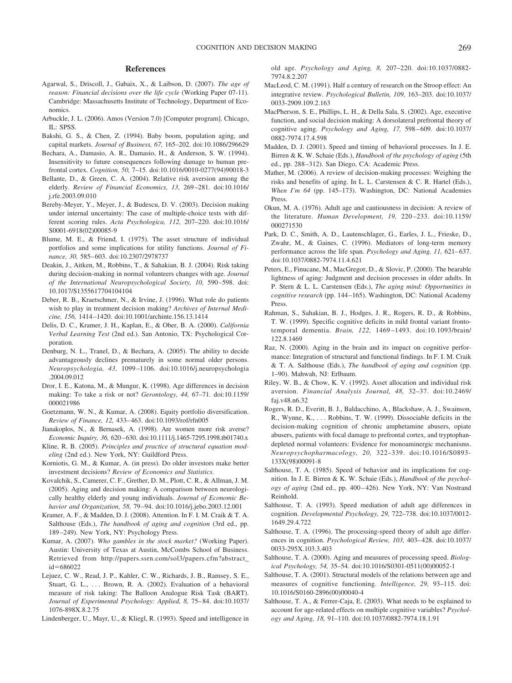# **References**

- Agarwal, S., Driscoll, J., Gabaix, X., & Laibson, D. (2007). *The age of reason: Financial decisions over the life cycle* (Working Paper 07-11). Cambridge: Massachusetts Institute of Technology, Department of Economics.
- Arbuckle, J. L. (2006). Amos (Version 7.0) [Computer program]. Chicago, IL: SPSS.
- Bakshi, G. S., & Chen, Z. (1994). Baby boom, population aging, and capital markets. *Journal of Business, 67,* 165–202. doi:10.1086/296629
- Bechara, A., Damasio, A. R., Damasio, H., & Anderson, S. W. (1994). Insensitivity to future consequences following damage to human prefrontal cortex. *Cognition, 50,* 7–15. doi:10.1016/0010-0277(94)90018-3
- Bellante, D., & Green, C. A. (2004). Relative risk aversion among the elderly. *Review of Financial Economics, 13,* 269 –281. doi:10.1016/ j.rfe.2003.09.010
- Bereby-Meyer, Y., Meyer, J., & Budescu, D. V. (2003). Decision making under internal uncertainty: The case of multiple-choice tests with different scoring rules. *Acta Psychologica, 112,* 207–220. doi:10.1016/ S0001-6918(02)00085-9
- Blume, M. E., & Friend, I. (1975). The asset structure of individual portfolios and some implications for utility functions. *Journal of Finance, 30,* 585– 603. doi:10.2307/2978737
- Deakin, J., Aitken, M., Robbins, T., & Sahakian, B. J. (2004). Risk taking during decision-making in normal volunteers changes with age. *Journal of the International Neuropsychological Society, 10,* 590 –598. doi: 10.1017/S1355617704104104
- Deber, R. B., Kraetschmer, N., & Irvine, J. (1996). What role do patients wish to play in treatment decision making? *Archives of Internal Medicine, 156,* 1414 –1420. doi:10.1001/archinte.156.13.1414
- Delis, D. C., Kramer, J. H., Kaplan, E., & Ober, B. A. (2000). *California Verbal Learning Test* (2nd ed.). San Antonio, TX: Psychological Corporation.
- Denburg, N. L., Tranel, D., & Bechara, A. (2005). The ability to decide advantageously declines prematurely in some normal older persons. *Neuropsychologia, 43,* 1099 –1106. doi:10.1016/j.neuropsychologia .2004.09.012
- Dror, I. E., Katona, M., & Mungur, K. (1998). Age differences in decision making: To take a risk or not? *Gerontology, 44,* 67–71. doi:10.1159/ 000021986
- Goetzmann, W. N., & Kumar, A. (2008). Equity portfolio diversification. *Review of Finance, 12,* 433– 463. doi:10.1093/rof/rfn005
- Jianakoplos, N., & Bernasek, A. (1998). Are women more risk averse? *Economic Inquiry, 36,* 620 – 630. doi:10.1111/j.1465-7295.1998.tb01740.x
- Kline, R. B. (2005). *Principles and practice of structural equation modeling* (2nd ed.). New York, NY: Guildford Press.
- Korniotis, G. M., & Kumar, A. (in press). Do older investors make better investment decisions? *Review of Economics and Statistics*.
- Kovalchik, S., Camerer, C. F., Grether, D. M., Plott, C. R., & Allman, J. M. (2005). Aging and decision making: A comparison between neurologically healthy elderly and young individuals. *Journal of Economic Behavior and Organization, 58,* 79 –94. doi:10.1016/j.jebo.2003.12.001
- Kramer, A. F., & Madden, D. J. (2008). Attention. In F. I. M. Craik & T. A. Salthouse (Eds.), *The handbook of aging and cognition* (3rd ed., pp. 189 –249). New York, NY: Psychology Press.
- Kumar, A. (2007). *Who gambles in the stock market?* (Working Paper). Austin: University of Texas at Austin, McCombs School of Business. Retrieved from http://papers.ssrn.com/sol3/papers.cfm?abstract\_  $id = 686022$
- Lejuez, C. W., Read, J. P., Kahler, C. W., Richards, J. B., Ramsey, S. E., Stuart, G. L., ... Brown, R. A. (2002). Evaluation of a behavioral measure of risk taking: The Balloon Analogue Risk Task (BART). *Journal of Experimental Psychology: Applied, 8,* 75– 84. doi:10.1037/ 1076-898X.8.2.75
- Lindenberger, U., Mayr, U., & Kliegl, R. (1993). Speed and intelligence in

old age. *Psychology and Aging, 8,* 207–220. doi:10.1037/0882- 7974.8.2.207

- MacLeod, C. M. (1991). Half a century of research on the Stroop effect: An integrative review. *Psychological Bulletin, 109,* 163–203. doi:10.1037/ 0033-2909.109.2.163
- MacPherson, S. E., Phillips, L. H., & Della Sala, S. (2002). Age, executive function, and social decision making: A dorsolateral prefrontal theory of cognitive aging. *Psychology and Aging, 17,* 598 – 609. doi:10.1037/ 0882-7974.17.4.598
- Madden, D. J. (2001). Speed and timing of behavioral processes. In J. E. Birren & K. W. Schaie (Eds.), *Handbook of the psychology of aging* (5th ed., pp. 288 –312). San Diego, CA: Academic Press.
- Mather, M. (2006). A review of decision-making processes: Weighing the risks and benefits of aging. In L. L. Carstensen & C. R. Hartel (Eds.), *When I'm 64* (pp. 145–173). Washington, DC: National Academies Press.
- Okun, M. A. (1976). Adult age and cautiousness in decision: A review of the literature. *Human Development, 19,* 220 –233. doi:10.1159/ 000271530
- Park, D. C., Smith, A. D., Lautenschlager, G., Earles, J. L., Frieske, D., Zwahr, M., & Gaines, C. (1996). Mediators of long-term memory performance across the life span. *Psychology and Aging, 11*, 621-637. doi:10.1037/0882-7974.11.4.621
- Peters, E., Finucane, M., MacGregor, D., & Slovic, P. (2000). The bearable lightness of aging: Judgment and decision processes in older adults. In P. Stern & L. L. Carstensen (Eds.), *The aging mind: Opportunities in cognitive research* (pp. 144 –165). Washington, DC: National Academy Press.
- Rahman, S., Sahakian, B. J., Hodges, J. R., Rogers, R. D., & Robbins, T. W. (1999). Specific cognitive deficits in mild frontal variant frontotemporal dementia. *Brain, 122,* 1469 –1493. doi:10.1093/brain/ 122.8.1469
- Raz, N. (2000). Aging in the brain and its impact on cognitive performance: Integration of structural and functional findings. In F. I. M. Craik & T. A. Salthouse (Eds.), *The handbook of aging and cognition* (pp. 1–90). Mahwah, NJ: Erlbaum.
- Riley, W. B., & Chow, K. V. (1992). Asset allocation and individual risk aversion. *Financial Analysis Journal, 48,* 32–37. doi:10.2469/ faj.v48.n6.32
- Rogers, R. D., Everitt, B. J., Baldacchino, A., Blackshaw, A. J., Swainson, R., Wynne, K., . . . Robbins, T. W. (1999). Dissociable deficits in the decision-making cognition of chronic amphetamine abusers, opiate abusers, patients with focal damage to prefrontal cortex, and tryptophandepleted normal volunteers: Evidence for monoaminergic mechanisms. *Neuropsychopharmacology, 20,* 322–339. doi:10.1016/S0893- 133X(98)00091-8
- Salthouse, T. A. (1985). Speed of behavior and its implications for cognition. In J. E. Birren & K. W. Schaie (Eds.), *Handbook of the psychology of aging* (2nd ed., pp. 400 – 426). New York, NY: Van Nostrand Reinhold.
- Salthouse, T. A. (1993). Speed mediation of adult age differences in cognition. *Developmental Psychology, 29,* 722–738. doi:10.1037/0012- 1649.29.4.722
- Salthouse, T. A. (1996). The processing-speed theory of adult age differences in cognition. *Psychological Review, 103,* 403– 428. doi:10.1037/ 0033-295X.103.3.403
- Salthouse, T. A. (2000). Aging and measures of processing speed. *Biological Psychology, 54,* 35–54. doi:10.1016/S0301-0511(00)00052-1
- Salthouse, T. A. (2001). Structural models of the relations between age and measures of cognitive functioning. *Intelligence, 29,* 93–115. doi: 10.1016/S0160-2896(00)00040-4
- Salthouse, T. A., & Ferrer-Caja, E. (2003). What needs to be explained to account for age-related effects on multiple cognitive variables? *Psychology and Aging, 18,* 91–110. doi:10.1037/0882-7974.18.1.91